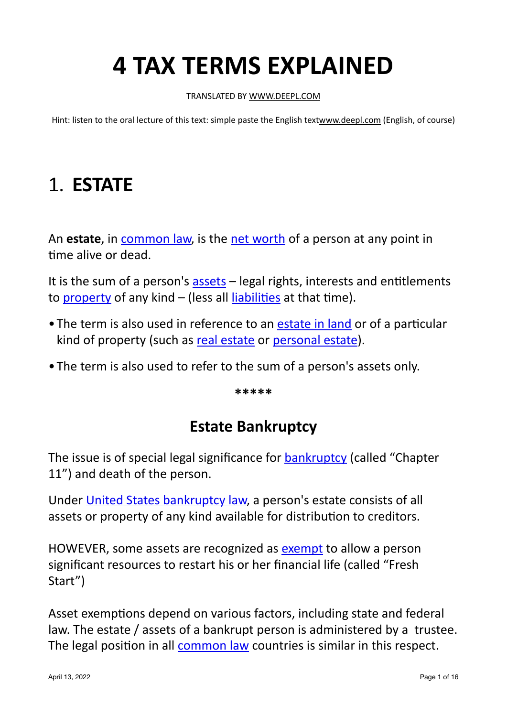# **4 TAX TERMS EXPLAINED**

#### TRANSLATED BY WWW.DEEPL.COM

Hint: listen to the oral lecture of this text: simple paste the English text[www.deepl.com](http://www.deepl.com) (English, of course)

## 1. **ESTATE**

An **estate**, in common law, is the net worth of a person at any point in time alive or dead.

It is the sum of a person's assets  $-$  legal rights, interests and entitlements to property of any kind  $-$  (less all liabilities at that time).

- The term is also used in reference to an estate in land or of a particular kind of property (such as real estate or personal estate).
- The term is also used to refer to the sum of a person's assets only.

**\*\*\*\*\***

## **Estate Bankruptcy**

The issue is of special legal significance for bankruptcy (called "Chapter 11") and death of the person.

Under United States bankruptcy law, a person's estate consists of all assets or property of any kind available for distribution to creditors.

HOWEVER, some assets are recognized as [exempt](https://en.wikipedia.org/wiki/Exempt_property) to allow a person significant resources to restart his or her financial life (called "Fresh Start")

Asset exemptions depend on various factors, including state and federal law. The estate / assets of a bankrupt person is administered by a trustee. The legal position in all common law countries is similar in this respect.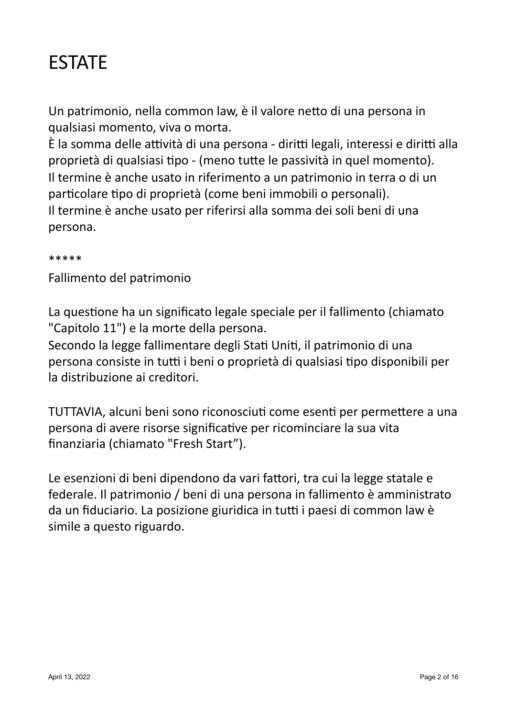## ESTATE

Un patrimonio, nella common law, è il valore netto di una persona in qualsiasi momento, viva o morta.

È la somma delle attività di una persona - diritti legali, interessi e diritti alla proprietà di qualsiasi tipo - (meno tutte le passività in quel momento). Il termine è anche usato in riferimento a un patrimonio in terra o di un particolare tipo di proprietà (come beni immobili o personali). Il termine è anche usato per riferirsi alla somma dei soli beni di una persona.

#### \*\*\*\*\*

Fallimento del patrimonio

La questione ha un significato legale speciale per il fallimento (chiamato "Capitolo 11") e la morte della persona.

Secondo la legge fallimentare degli Stati Uniti, il patrimonio di una persona consiste in tutti i beni o proprietà di qualsiasi tipo disponibili per la distribuzione ai creditori.

TUTTAVIA, alcuni beni sono riconosciuti come esenti per permettere a una persona di avere risorse significative per ricominciare la sua vita finanziaria (chiamato "Fresh Start").

Le esenzioni di beni dipendono da vari fattori, tra cui la legge statale e federale. Il patrimonio / beni di una persona in fallimento è amministrato da un fiduciario. La posizione giuridica in tutti i paesi di common law è simile a questo riguardo.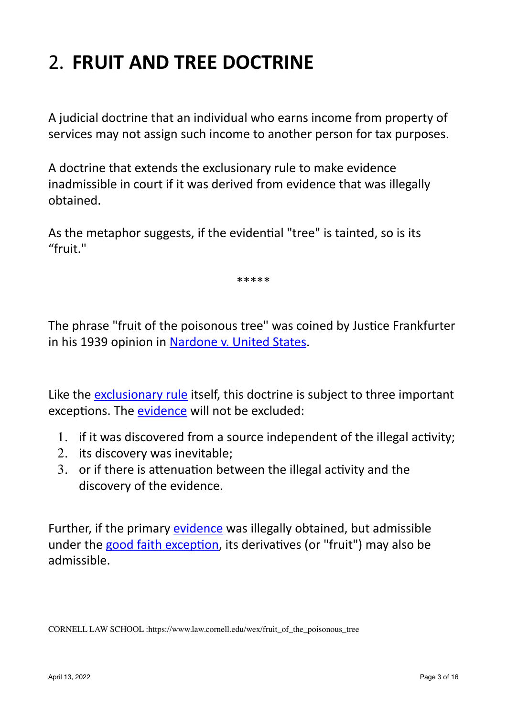## 2. **FRUIT AND TREE DOCTRINE**

A judicial doctrine that an individual who earns income from property of services may not assign such income to another person for tax purposes.

A doctrine that extends the exclusionary rule to make evidence inadmissible in court if it was derived from evidence that was illegally obtained.

As the metaphor suggests, if the evidential "tree" is tainted, so is its "fruit."

\*\*\*\*\* 

The phrase "fruit of the poisonous tree" was coined by Justice Frankfurter in his 1939 opinion in Nardone v. United States.

Like the exclusionary rule itself, this doctrine is subject to three important exceptions. The evidence will not be excluded:

- 1. if it was discovered from a source independent of the illegal activity;
- 2. its discovery was inevitable;
- $3.$  or if there is attenuation between the illegal activity and the discovery of the evidence.

Further, if the primary evidence was illegally obtained, but admissible under the good faith exception, its derivatives (or "fruit") may also be admissible.

CORNELL LAW SCHOOL :https://www.law.cornell.edu/wex/fruit\_of\_the\_poisonous\_tree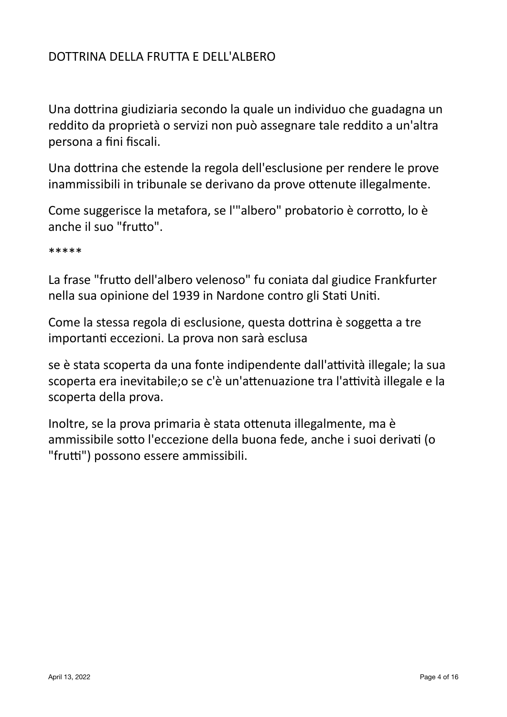### DOTTRINA DELLA FRUTTA E DELL'ALBERO

Una dottrina giudiziaria secondo la quale un individuo che guadagna un reddito da proprietà o servizi non può assegnare tale reddito a un'altra persona a fini fiscali.

Una dottrina che estende la regola dell'esclusione per rendere le prove inammissibili in tribunale se derivano da prove ottenute illegalmente.

Come suggerisce la metafora, se l'"albero" probatorio è corrotto, lo è anche il suo "frutto".

\*\*\*\*\*

La frase "frutto dell'albero velenoso" fu coniata dal giudice Frankfurter nella sua opinione del 1939 in Nardone contro gli Stati Uniti.

Come la stessa regola di esclusione, questa dottrina è soggetta a tre importanti eccezioni. La prova non sarà esclusa

se è stata scoperta da una fonte indipendente dall'attività illegale; la sua scoperta era inevitabile;o se c'è un'attenuazione tra l'attività illegale e la scoperta della prova.

Inoltre, se la prova primaria è stata ottenuta illegalmente, ma è ammissibile sotto l'eccezione della buona fede, anche i suoi derivati (o "frutti") possono essere ammissibili.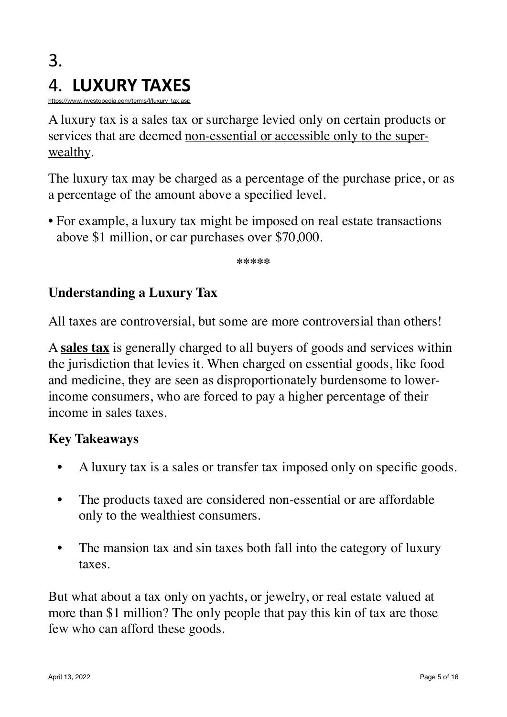## 3. 4. **LUXURY TAXES**

[https://www.investopedia.com/terms/l/luxury\\_tax.asp](https://www.investopedia.com/terms/l/luxury_tax.asp)

A luxury tax is a sales tax or surcharge levied only on certain products or services that are deemed non-essential or accessible only to the superwealthy.

The luxury tax may be charged as a percentage of the purchase price, or as a percentage of the amount above a specified level.

• For example, a luxury tax might be imposed on real estate transactions above \$1 million, or car purchases over \$70,000.

**\*\*\*\*\***

### **Understanding a Luxury Tax**

All taxes are controversial, but some are more controversial than others!

A **sales tax** is generally charged to all buyers of goods and services within the jurisdiction that levies it. When charged on essential goods, like food and medicine, they are seen as disproportionately burdensome to lowerincome consumers, who are forced to pay a higher percentage of their income in sales taxes.

#### **Key Takeaways**

- A luxury tax is a sales or transfer tax imposed only on specific goods.
- The products taxed are considered non-essential or are affordable only to the wealthiest consumers.
- The mansion tax and sin taxes both fall into the category of luxury taxes.

But what about a tax only on yachts, or jewelry, or real estate valued at more than \$1 million? The only people that pay this kin of tax are those few who can afford these goods.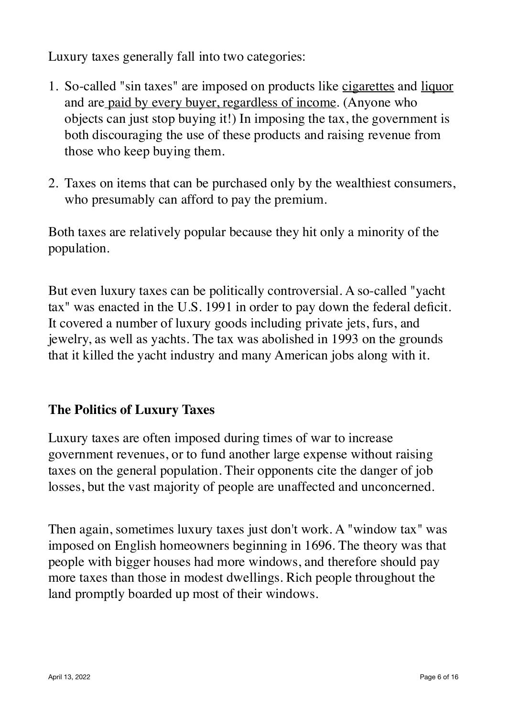Luxury taxes generally fall into two categories:

- 1. So-called "sin taxes" are imposed on products like cigarettes and liquor and are paid by every buyer, regardless of income. (Anyone who objects can just stop buying it!) In imposing the tax, the government is both discouraging the use of these products and raising revenue from those who keep buying them.
- 2. Taxes on items that can be purchased only by the wealthiest consumers, who presumably can afford to pay the premium.

Both taxes are relatively popular because they hit only a minority of the population.

But even luxury taxes can be politically controversial. A so-called "yacht tax" was enacted in the U.S. 1991 in order to pay down the federal deficit. It covered a number of luxury goods including private jets, furs, and jewelry, as well as yachts. The tax was abolished in 1993 on the grounds that it killed the yacht industry and many American jobs along with it.

### **The Politics of Luxury Taxes**

Luxury taxes are often imposed during times of war to increase government revenues, or to fund another large expense without raising taxes on the general population. Their opponents cite the danger of job losses, but the vast majority of people are unaffected and unconcerned.

Then again, sometimes luxury taxes just don't work. A "window tax" was imposed on English homeowners beginning in 1696. The theory was that people with bigger houses had more windows, and therefore should pay more taxes than those in modest dwellings. Rich people throughout the land promptly boarded up most of their windows.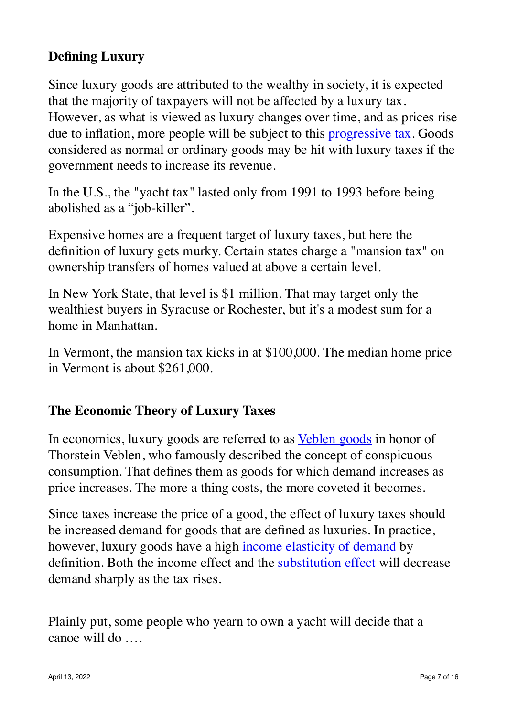## **Defining Luxury**

Since luxury goods are attributed to the wealthy in society, it is expected that the majority of taxpayers will not be affected by a luxury tax. However, as what is viewed as luxury changes over time, and as prices rise due to inflation, more people will be subject to this **[progressive tax](https://www.investopedia.com/terms/p/progressivetax.asp)**. Goods considered as normal or ordinary goods may be hit with luxury taxes if the government needs to increase its revenue.

In the U.S., the "yacht tax" lasted only from 1991 to 1993 before being abolished as a "job-killer".

Expensive homes are a frequent target of luxury taxes, but here the definition of luxury gets murky. Certain states charge a "mansion tax" on ownership transfers of homes valued at above a certain level.

In New York State, that level is \$1 million. That may target only the wealthiest buyers in Syracuse or Rochester, but it's a modest sum for a home in Manhattan.

In Vermont, the mansion tax kicks in at \$100,000. The median home price in Vermont is about \$261,000.

### **The Economic Theory of Luxury Taxes**

In economics, luxury goods are referred to as [Veblen goods](https://www.investopedia.com/terms/v/veblen-good.asp) in honor of Thorstein Veblen, who famously described the concept of conspicuous consumption. That defines them as goods for which demand increases as price increases. The more a thing costs, the more coveted it becomes.

Since taxes increase the price of a good, the effect of luxury taxes should be increased demand for goods that are defined as luxuries. In practice, however, luxury goods have a high [income elasticity of demand](https://www.investopedia.com/terms/i/incomeelasticityofdemand.asp) by definition. Both the income effect and the **[substitution effect](https://www.investopedia.com/terms/s/substitution-effect.asp)** will decrease demand sharply as the tax rises.

Plainly put, some people who yearn to own a yacht will decide that a canoe will do ….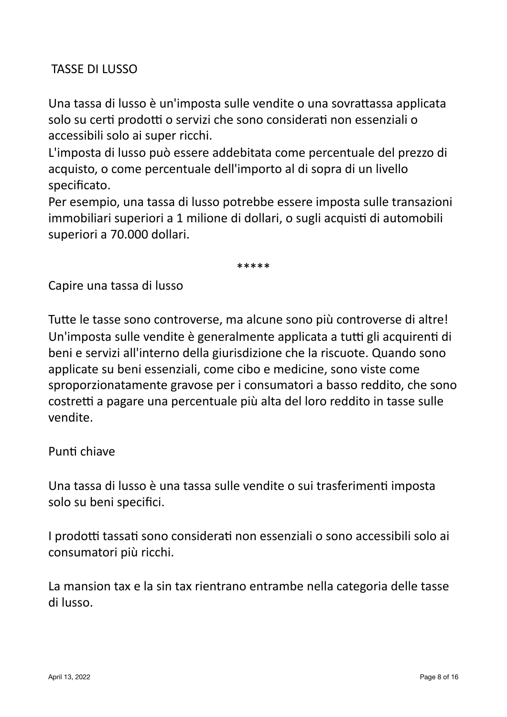### TASSE DI LUSSO

Una tassa di lusso è un'imposta sulle vendite o una sovrattassa applicata solo su certi prodotti o servizi che sono considerati non essenziali o accessibili solo ai super ricchi.

L'imposta di lusso può essere addebitata come percentuale del prezzo di acquisto, o come percentuale dell'importo al di sopra di un livello specificato.

Per esempio, una tassa di lusso potrebbe essere imposta sulle transazioni immobiliari superiori a 1 milione di dollari, o sugli acquisti di automobili superiori a 70.000 dollari.

\*\*\*\*\*

Capire una tassa di lusso

Tutte le tasse sono controverse, ma alcune sono più controverse di altre! Un'imposta sulle vendite è generalmente applicata a tutti gli acquirenti di beni e servizi all'interno della giurisdizione che la riscuote. Quando sono applicate su beni essenziali, come cibo e medicine, sono viste come sproporzionatamente gravose per i consumatori a basso reddito, che sono costretti a pagare una percentuale più alta del loro reddito in tasse sulle vendite.

#### Punti chiave

Una tassa di lusso è una tassa sulle vendite o sui trasferimenti imposta solo su beni specifici.

I prodotti tassati sono considerati non essenziali o sono accessibili solo ai consumatori più ricchi.

La mansion tax e la sin tax rientrano entrambe nella categoria delle tasse di lusso.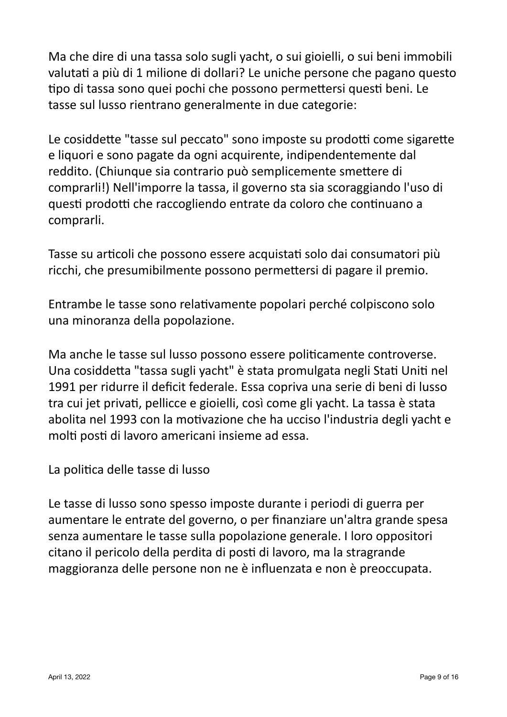Ma che dire di una tassa solo sugli yacht, o sui gioielli, o sui beni immobili valutati a più di 1 milione di dollari? Le uniche persone che pagano questo tipo di tassa sono quei pochi che possono permettersi questi beni. Le tasse sul lusso rientrano generalmente in due categorie:

Le cosiddette "tasse sul peccato" sono imposte su prodotti come sigarette e liquori e sono pagate da ogni acquirente, indipendentemente dal reddito. (Chiunque sia contrario può semplicemente smettere di comprarli!) Nell'imporre la tassa, il governo sta sia scoraggiando l'uso di questi prodotti che raccogliendo entrate da coloro che continuano a comprarli.

Tasse su articoli che possono essere acquistati solo dai consumatori più ricchi, che presumibilmente possono permettersi di pagare il premio.

Entrambe le tasse sono relativamente popolari perché colpiscono solo una minoranza della popolazione.

Ma anche le tasse sul lusso possono essere politicamente controverse. Una cosiddetta "tassa sugli yacht" è stata promulgata negli Stati Uniti nel 1991 per ridurre il deficit federale. Essa copriva una serie di beni di lusso tra cui jet privati, pellicce e gioielli, così come gli yacht. La tassa è stata abolita nel 1993 con la motivazione che ha ucciso l'industria degli yacht e molti posti di lavoro americani insieme ad essa.

La politica delle tasse di lusso

Le tasse di lusso sono spesso imposte durante i periodi di guerra per aumentare le entrate del governo, o per finanziare un'altra grande spesa senza aumentare le tasse sulla popolazione generale. I loro oppositori citano il pericolo della perdita di posti di lavoro, ma la stragrande maggioranza delle persone non ne è influenzata e non è preoccupata.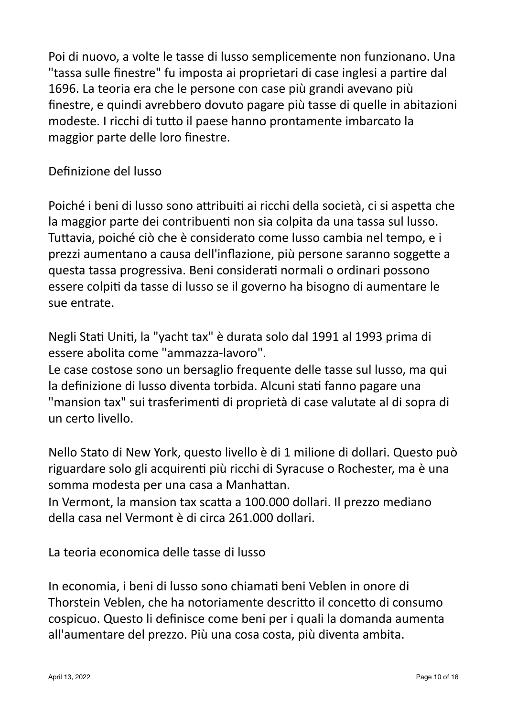Poi di nuovo, a volte le tasse di lusso semplicemente non funzionano. Una "tassa sulle finestre" fu imposta ai proprietari di case inglesi a partire dal 1696. La teoria era che le persone con case più grandi avevano più finestre, e quindi avrebbero dovuto pagare più tasse di quelle in abitazioni modeste. I ricchi di tutto il paese hanno prontamente imbarcato la maggior parte delle loro finestre.

Definizione del lusso

Poiché i beni di lusso sono attribuiti ai ricchi della società, ci si aspetta che la maggior parte dei contribuenti non sia colpita da una tassa sul lusso. Tuttavia, poiché ciò che è considerato come lusso cambia nel tempo, e i prezzi aumentano a causa dell'inflazione, più persone saranno soggette a questa tassa progressiva. Beni considerati normali o ordinari possono essere colpiti da tasse di lusso se il governo ha bisogno di aumentare le sue entrate.

Negli Stati Uniti, la "yacht tax" è durata solo dal 1991 al 1993 prima di essere abolita come "ammazza-lavoro".

Le case costose sono un bersaglio frequente delle tasse sul lusso, ma qui la definizione di lusso diventa torbida. Alcuni stati fanno pagare una "mansion tax" sui trasferimenti di proprietà di case valutate al di sopra di un certo livello.

Nello Stato di New York, questo livello è di 1 milione di dollari. Questo può riguardare solo gli acquirenti più ricchi di Syracuse o Rochester, ma è una somma modesta per una casa a Manhattan.

In Vermont, la mansion tax scatta a 100.000 dollari. Il prezzo mediano della casa nel Vermont è di circa 261.000 dollari.

La teoria economica delle tasse di lusso

In economia, i beni di lusso sono chiamati beni Veblen in onore di Thorstein Veblen, che ha notoriamente descritto il concetto di consumo cospicuo. Questo li definisce come beni per i quali la domanda aumenta all'aumentare del prezzo. Più una cosa costa, più diventa ambita.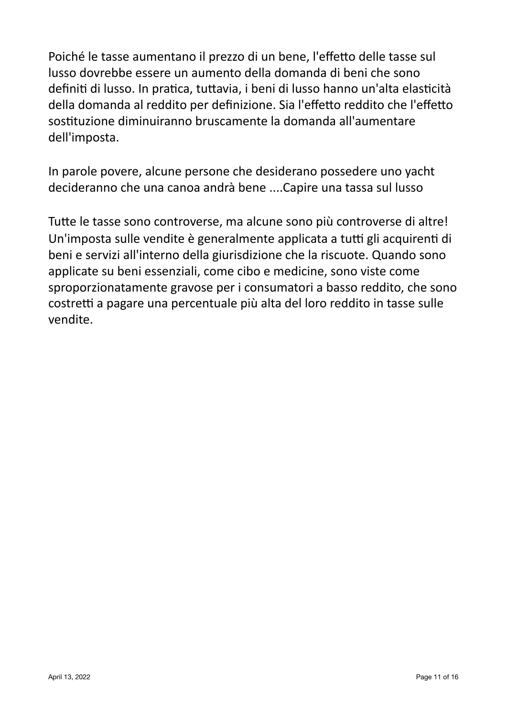Poiché le tasse aumentano il prezzo di un bene, l'effetto delle tasse sul lusso dovrebbe essere un aumento della domanda di beni che sono definiti di lusso. In pratica, tuttavia, i beni di lusso hanno un'alta elasticità della domanda al reddito per definizione. Sia l'effetto reddito che l'effetto sostituzione diminuiranno bruscamente la domanda all'aumentare dell'imposta.

In parole povere, alcune persone che desiderano possedere uno yacht decideranno che una canoa andrà bene ....Capire una tassa sul lusso

Tutte le tasse sono controverse, ma alcune sono più controverse di altre! Un'imposta sulle vendite è generalmente applicata a tutti gli acquirenti di beni e servizi all'interno della giurisdizione che la riscuote. Quando sono applicate su beni essenziali, come cibo e medicine, sono viste come sproporzionatamente gravose per i consumatori a basso reddito, che sono costretti a pagare una percentuale più alta del loro reddito in tasse sulle vendite.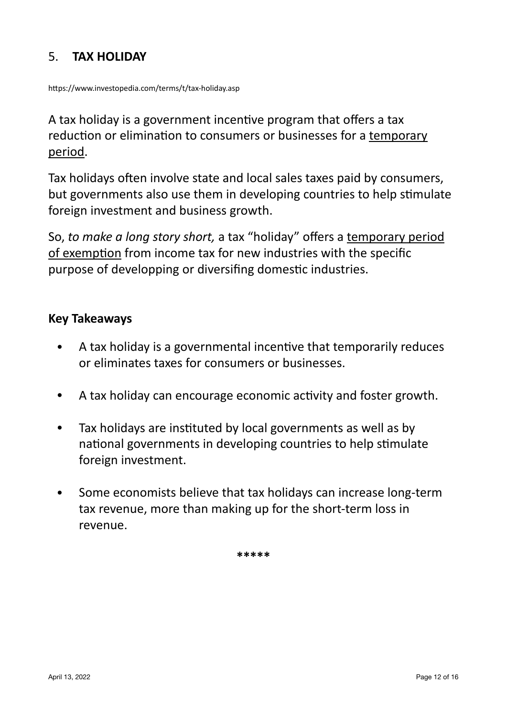### 5. **TAX HOLIDAY**

https://www.investopedia.com/terms/t/tax-holiday.asp

A tax holiday is a government incentive program that offers a tax reduction or elimination to consumers or businesses for a temporary period.

Tax holidays often involve state and local sales taxes paid by consumers, but governments also use them in developing countries to help stimulate foreign investment and business growth.

So, *to make a long story short*, a tax "holiday" offers a temporary period of exemption from income tax for new industries with the specific purpose of developping or diversifing domestic industries.

#### **Key Takeaways**

- A tax holiday is a governmental incentive that temporarily reduces or eliminates taxes for consumers or businesses.
- A tax holiday can encourage economic activity and foster growth.
- Tax holidays are instituted by local governments as well as by national governments in developing countries to help stimulate foreign investment.
- Some economists believe that tax holidays can increase long-term tax revenue, more than making up for the short-term loss in revenue.

**\*\*\*\*\***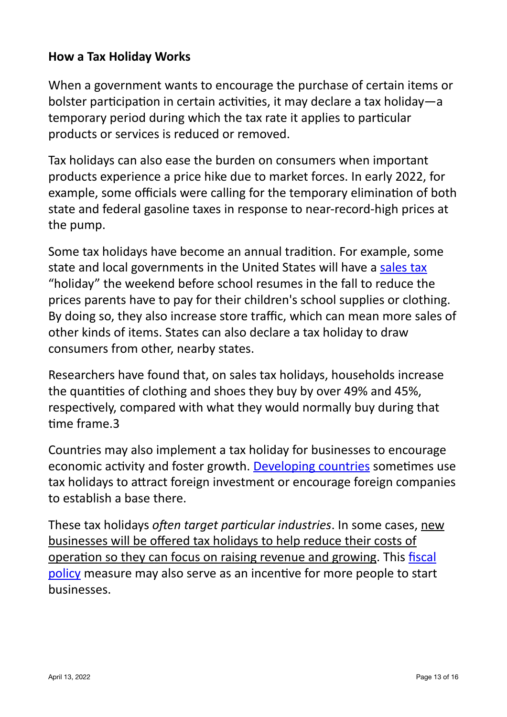#### **How a Tax Holiday Works**

When a government wants to encourage the purchase of certain items or bolster participation in certain activities, it may declare a tax holiday—a temporary period during which the tax rate it applies to particular products or services is reduced or removed.

Tax holidays can also ease the burden on consumers when important products experience a price hike due to market forces. In early 2022, for example, some officials were calling for the temporary elimination of both state and federal gasoline taxes in response to near-record-high prices at the pump.

Some tax holidays have become an annual tradition. For example, some state and local governments in the United States will have a sales tax "holiday" the weekend before school resumes in the fall to reduce the prices parents have to pay for their children's school supplies or clothing. By doing so, they also increase store traffic, which can mean more sales of other kinds of items. States can also declare a tax holiday to draw consumers from other, nearby states.

Researchers have found that, on sales tax holidays, households increase the quantities of clothing and shoes they buy by over 49% and 45%, respectively, compared with what they would normally buy during that time frame.3

Countries may also implement a tax holiday for businesses to encourage economic activity and foster growth. Developing countries sometimes use tax holidays to attract foreign investment or encourage foreign companies to establish a base there.

These tax holidays *often target particular industries*. In some cases, new businesses will be offered tax holidays to help reduce their costs of operation so they can focus on raising revenue and growing. This fiscal policy measure may also serve as an incentive for more people to start businesses.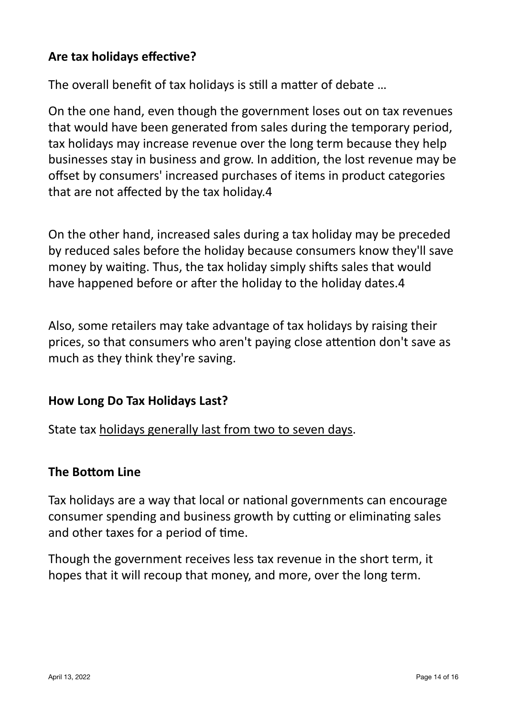### Are tax holidays effective?

The overall benefit of tax holidays is still a matter of debate ...

On the one hand, even though the government loses out on tax revenues that would have been generated from sales during the temporary period, tax holidays may increase revenue over the long term because they help businesses stay in business and grow. In addition, the lost revenue may be offset by consumers' increased purchases of items in product categories that are not affected by the tax holiday.4

On the other hand, increased sales during a tax holiday may be preceded by reduced sales before the holiday because consumers know they'll save money by waiting. Thus, the tax holiday simply shifts sales that would have happened before or after the holiday to the holiday dates.4

Also, some retailers may take advantage of tax holidays by raising their prices, so that consumers who aren't paying close attention don't save as much as they think they're saving.

#### **How Long Do Tax Holidays Last?**

State tax holidays generally last from two to seven days.

#### **The Bottom Line**

Tax holidays are a way that local or national governments can encourage consumer spending and business growth by cutting or eliminating sales and other taxes for a period of time.

Though the government receives less tax revenue in the short term, it hopes that it will recoup that money, and more, over the long term.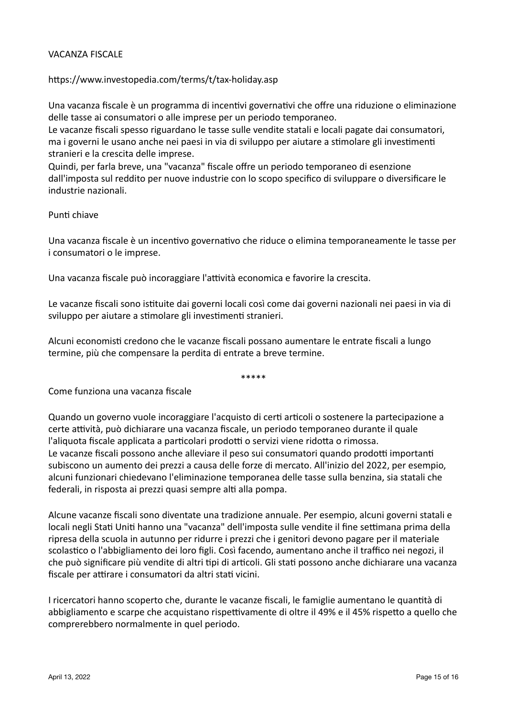#### **VACANZA FISCALE**

#### https://www.investopedia.com/terms/t/tax-holiday.asp

Una vacanza fiscale è un programma di incentivi governativi che offre una riduzione o eliminazione delle tasse ai consumatori o alle imprese per un periodo temporaneo.

Le vacanze fiscali spesso riguardano le tasse sulle vendite statali e locali pagate dai consumatori, ma i governi le usano anche nei paesi in via di sviluppo per aiutare a stimolare gli investimenti stranieri e la crescita delle imprese.

Quindi, per farla breve, una "vacanza" fiscale offre un periodo temporaneo di esenzione dall'imposta sul reddito per nuove industrie con lo scopo specifico di sviluppare o diversificare le industrie nazionali.

#### Punti chiave

Una vacanza fiscale è un incentivo governativo che riduce o elimina temporaneamente le tasse per i consumatori o le imprese.

Una vacanza fiscale può incoraggiare l'attività economica e favorire la crescita.

Le vacanze fiscali sono istituite dai governi locali così come dai governi nazionali nei paesi in via di sviluppo per aiutare a stimolare gli investimenti stranieri.

Alcuni economisti credono che le vacanze fiscali possano aumentare le entrate fiscali a lungo termine, più che compensare la perdita di entrate a breve termine.

\*\*\*\*\*

Come funziona una vacanza fiscale

Quando un governo vuole incoraggiare l'acquisto di certi articoli o sostenere la partecipazione a certe attività, può dichiarare una vacanza fiscale, un periodo temporaneo durante il quale l'aliquota fiscale applicata a particolari prodotti o servizi viene ridotta o rimossa. Le vacanze fiscali possono anche alleviare il peso sui consumatori quando prodotti importanti subiscono un aumento dei prezzi a causa delle forze di mercato. All'inizio del 2022, per esempio, alcuni funzionari chiedevano l'eliminazione temporanea delle tasse sulla benzina, sia statali che federali, in risposta ai prezzi quasi sempre alti alla pompa.

Alcune vacanze fiscali sono diventate una tradizione annuale. Per esempio, alcuni governi statali e locali negli Stati Uniti hanno una "vacanza" dell'imposta sulle vendite il fine settimana prima della ripresa della scuola in autunno per ridurre i prezzi che i genitori devono pagare per il materiale scolastico o l'abbigliamento dei loro figli. Così facendo, aumentano anche il traffico nei negozi, il che può significare più vendite di altri tipi di articoli. Gli stati possono anche dichiarare una vacanza fiscale per attirare i consumatori da altri stati vicini.

I ricercatori hanno scoperto che, durante le vacanze fiscali, le famiglie aumentano le quantità di abbigliamento e scarpe che acquistano rispettivamente di oltre il 49% e il 45% rispetto a quello che comprerebbero normalmente in quel periodo.